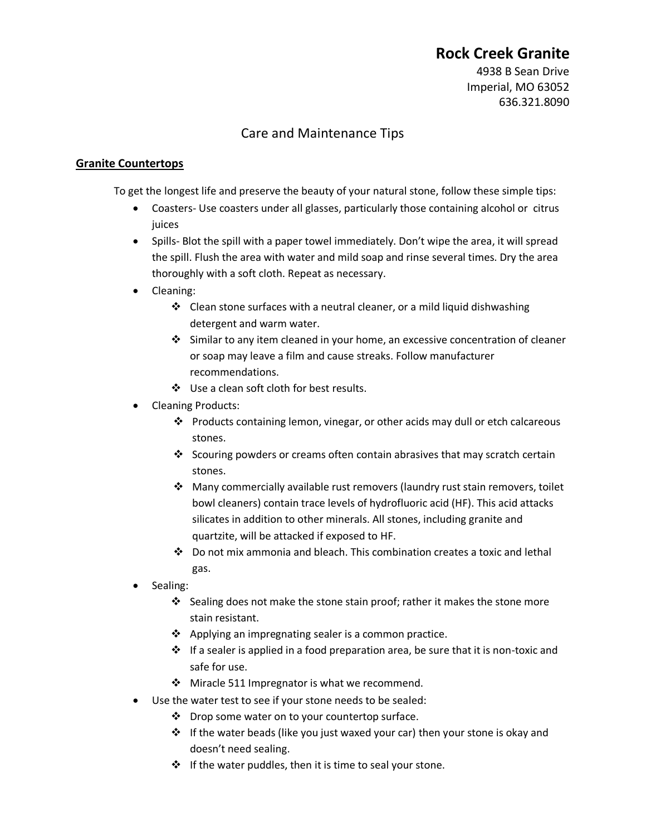## **Rock Creek Granite**

4938 B Sean Drive Imperial, MO 63052 636.321.8090

## Care and Maintenance Tips

## **Granite Countertops**

To get the longest life and preserve the beauty of your natural stone, follow these simple tips:

- Coasters- Use coasters under all glasses, particularly those containing alcohol or citrus juices
- Spills- Blot the spill with a paper towel immediately. Don't wipe the area, it will spread the spill. Flush the area with water and mild soap and rinse several times. Dry the area thoroughly with a soft cloth. Repeat as necessary.
- Cleaning:
	- $\cdot$  Clean stone surfaces with a neutral cleaner, or a mild liquid dishwashing detergent and warm water.
	- $\div$  Similar to any item cleaned in your home, an excessive concentration of cleaner or soap may leave a film and cause streaks. Follow manufacturer recommendations.
	- ❖ Use a clean soft cloth for best results.
- Cleaning Products:
	- Products containing lemon, vinegar, or other acids may dull or etch calcareous stones.
	- Scouring powders or creams often contain abrasives that may scratch certain stones.
	- Many commercially available rust removers (laundry rust stain removers, toilet bowl cleaners) contain trace levels of hydrofluoric acid (HF). This acid attacks silicates in addition to other minerals. All stones, including granite and quartzite, will be attacked if exposed to HF.
	- $\clubsuit$  Do not mix ammonia and bleach. This combination creates a toxic and lethal gas.
- Sealing:
	- $\clubsuit$  Sealing does not make the stone stain proof; rather it makes the stone more stain resistant.
	- $\triangle$  Applying an impregnating sealer is a common practice.
	- $\cdot \cdot$  If a sealer is applied in a food preparation area, be sure that it is non-toxic and safe for use.
	- ❖ Miracle 511 Impregnator is what we recommend.
- Use the water test to see if your stone needs to be sealed:
	- $\mathbf{\hat{P}}$  Drop some water on to your countertop surface.
	- $\div$  If the water beads (like you just waxed your car) then your stone is okay and doesn't need sealing.
	- $\div$  If the water puddles, then it is time to seal your stone.